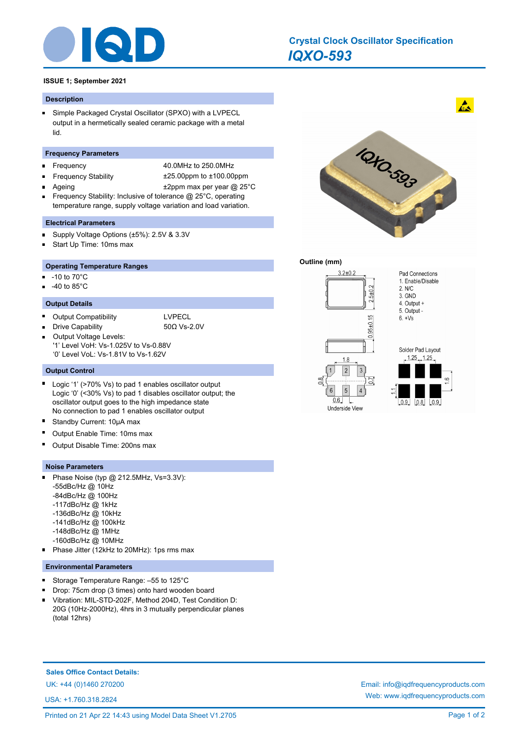

# *IQXO-593* **Crystal Clock Oscillator Specification**

## **ISSUE 1; September 2021**

#### **Description**

Simple Packaged Crystal Oscillator (SPXO) with a LVPECL  $\blacksquare$ output in a hermetically sealed ceramic package with a metal lid.

## **Frequency Parameters**

- Frequency 40.0MHz to 250.0MHz
- n. Frequency Stability ±25.00ppm to ±100.00ppm
- -
- 
- Ageing  $\text{+2ppm}$  max per year @ 25°C
- Frequency Stability: Inclusive of tolerance @ 25°C, operating temperature range, supply voltage variation and load variation.

#### **Electrical Parameters**

- Supply Voltage Options (±5%): 2.5V & 3.3V  $\blacksquare$
- Start Up Time: 10ms max Ė

#### **Operating Temperature Ranges**

- -10 to 70°C n.
- -40 to 85°C

#### **Output Details**

÷.

 $\blacksquare$ Output Compatibility **LVPECL** 

Drive Capability 50Ω Vs-2.0V

Output Voltage Levels:  $\blacksquare$ '1' Level VoH: Vs-1.025V to Vs-0.88V '0' Level VoL: Vs-1.81V to Vs-1.62V

## **Output Control**

- $\blacksquare$ Logic '1' (>70% Vs) to pad 1 enables oscillator output Logic '0' (<30% Vs) to pad 1 disables oscillator output; the oscillator output goes to the high impedance state No connection to pad 1 enables oscillator output
- E Standby Current: 10μA max
- Output Enable Time: 10ms max
- Output Disable Time: 200ns max

#### **Noise Parameters**

- Phase Noise (typ @ 212.5MHz, Vs=3.3V): n. -55dBc/Hz @ 10Hz -84dBc/Hz @ 100Hz -117dBc/Hz @ 1kHz -136dBc/Hz @ 10kHz
	- -141dBc/Hz @ 100kHz
	- -148dBc/Hz @ 1MHz
	- -160dBc/Hz @ 10MHz
- Phase Jitter (12kHz to 20MHz): 1ps rms max

## **Environmental Parameters**

- Storage Temperature Range: –55 to 125°C  $\blacksquare$
- Drop: 75cm drop (3 times) onto hard wooden board
- Vibration: MIL-STD-202F, Method 204D, Test Condition D: 20G (10Hz-2000Hz), 4hrs in 3 mutually perpendicular planes (total 12hrs)

**Sales Office Contact Details:**

USA: +1.760.318.2824

10-50-503

#### **Outline (mm)**





 $\mathbf{A}$ 



UK: +44 (0)1460 270200 Email: info@iqdfrequencyproducts.com Web: www.iqdfrequencyproducts.com